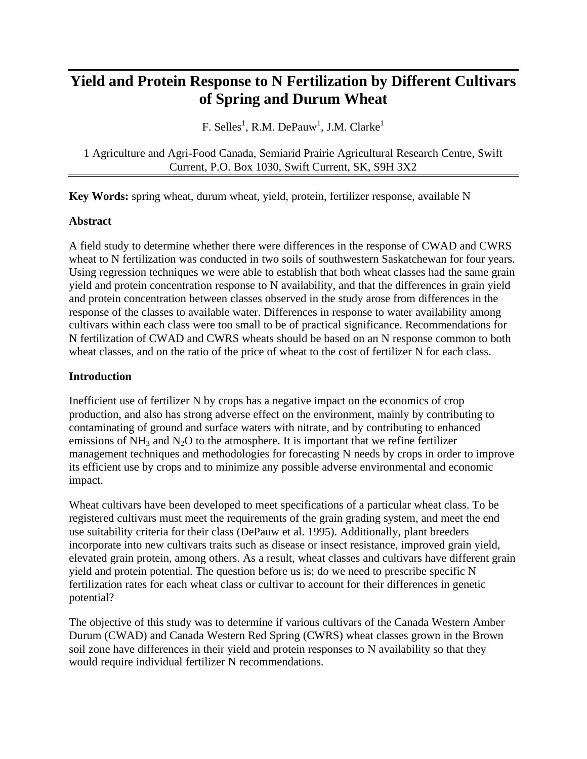# **Yield and Protein Response to N Fertilization by Different Cultivars of Spring and Durum Wheat**

F. Selles<sup>1</sup>, R.M. DePauw<sup>1</sup>, J.M. Clarke<sup>1</sup>

1 Agriculture and Agri-Food Canada, Semiarid Prairie Agricultural Research Centre, Swift Current, P.O. Box 1030, Swift Current, SK, S9H 3X2

**Key Words:** spring wheat, durum wheat, yield, protein, fertilizer response, available N

# **Abstract**

A field study to determine whether there were differences in the response of CWAD and CWRS wheat to N fertilization was conducted in two soils of southwestern Saskatchewan for four years. Using regression techniques we were able to establish that both wheat classes had the same grain yield and protein concentration response to N availability, and that the differences in grain yield and protein concentration between classes observed in the study arose from differences in the response of the classes to available water. Differences in response to water availability among cultivars within each class were too small to be of practical significance. Recommendations for N fertilization of CWAD and CWRS wheats should be based on an N response common to both wheat classes, and on the ratio of the price of wheat to the cost of fertilizer N for each class.

# **Introduction**

Inefficient use of fertilizer N by crops has a negative impact on the economics of crop production, and also has strong adverse effect on the environment, mainly by contributing to contaminating of ground and surface waters with nitrate, and by contributing to enhanced emissions of  $NH_3$  and  $N_2O$  to the atmosphere. It is important that we refine fertilizer management techniques and methodologies for forecasting N needs by crops in order to improve its efficient use by crops and to minimize any possible adverse environmental and economic impact.

Wheat cultivars have been developed to meet specifications of a particular wheat class. To be registered cultivars must meet the requirements of the grain grading system, and meet the end use suitability criteria for their class (DePauw et al. 1995). Additionally, plant breeders incorporate into new cultivars traits such as disease or insect resistance, improved grain yield, elevated grain protein, among others. As a result, wheat classes and cultivars have different grain yield and protein potential. The question before us is; do we need to prescribe specific N fertilization rates for each wheat class or cultivar to account for their differences in genetic potential?

The objective of this study was to determine if various cultivars of the Canada Western Amber Durum (CWAD) and Canada Western Red Spring (CWRS) wheat classes grown in the Brown soil zone have differences in their yield and protein responses to N availability so that they would require individual fertilizer N recommendations.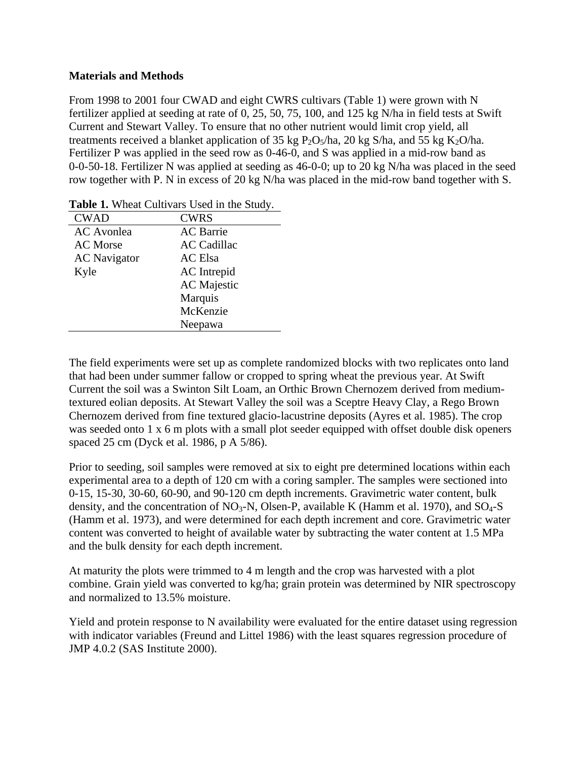# **Materials and Methods**

From 1998 to 2001 four CWAD and eight CWRS cultivars (Table 1) were grown with N fertilizer applied at seeding at rate of 0, 25, 50, 75, 100, and 125 kg N/ha in field tests at Swift Current and Stewart Valley. To ensure that no other nutrient would limit crop yield, all treatments received a blanket application of 35 kg  $P_2O_5/ha$ , 20 kg S/ha, and 55 kg K<sub>2</sub>O/ha. Fertilizer P was applied in the seed row as 0-46-0, and S was applied in a mid-row band as 0-0-50-18. Fertilizer N was applied at seeding as 46-0-0; up to 20 kg N/ha was placed in the seed row together with P. N in excess of 20 kg N/ha was placed in the mid-row band together with S.

| <b>CWAD</b>         | <b>CWRS</b>        |
|---------------------|--------------------|
| <b>AC</b> Avonlea   | <b>AC</b> Barrie   |
| <b>AC</b> Morse     | <b>AC</b> Cadillac |
| <b>AC</b> Navigator | <b>AC</b> Elsa     |
| Kyle                | <b>AC</b> Intrepid |
|                     | <b>AC</b> Majestic |
|                     | Marquis            |
|                     | McKenzie           |
|                     | Neepawa            |

**Table 1.** Wheat Cultivars Used in the Study.

The field experiments were set up as complete randomized blocks with two replicates onto land that had been under summer fallow or cropped to spring wheat the previous year. At Swift Current the soil was a Swinton Silt Loam, an Orthic Brown Chernozem derived from mediumtextured eolian deposits. At Stewart Valley the soil was a Sceptre Heavy Clay, a Rego Brown Chernozem derived from fine textured glacio-lacustrine deposits (Ayres et al. 1985). The crop was seeded onto 1 x 6 m plots with a small plot seeder equipped with offset double disk openers spaced 25 cm (Dyck et al. 1986, p A 5/86).

Prior to seeding, soil samples were removed at six to eight pre determined locations within each experimental area to a depth of 120 cm with a coring sampler. The samples were sectioned into 0-15, 15-30, 30-60, 60-90, and 90-120 cm depth increments. Gravimetric water content, bulk density, and the concentration of  $NO_3$ -N, Olsen-P, available K (Hamm et al. 1970), and  $SO_4$ -S (Hamm et al. 1973), and were determined for each depth increment and core. Gravimetric water content was converted to height of available water by subtracting the water content at 1.5 MPa and the bulk density for each depth increment.

At maturity the plots were trimmed to 4 m length and the crop was harvested with a plot combine. Grain yield was converted to kg/ha; grain protein was determined by NIR spectroscopy and normalized to 13.5% moisture.

Yield and protein response to N availability were evaluated for the entire dataset using regression with indicator variables (Freund and Littel 1986) with the least squares regression procedure of JMP 4.0.2 (SAS Institute 2000).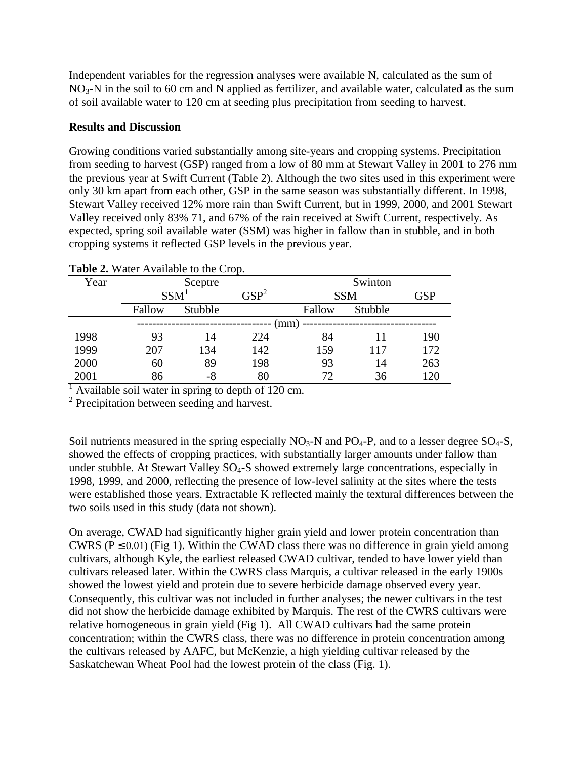Independent variables for the regression analyses were available N, calculated as the sum of  $NO<sub>3</sub>$ -N in the soil to 60 cm and N applied as fertilizer, and available water, calculated as the sum of soil available water to 120 cm at seeding plus precipitation from seeding to harvest.

# **Results and Discussion**

Growing conditions varied substantially among site-years and cropping systems. Precipitation from seeding to harvest (GSP) ranged from a low of 80 mm at Stewart Valley in 2001 to 276 mm the previous year at Swift Current (Table 2). Although the two sites used in this experiment were only 30 km apart from each other, GSP in the same season was substantially different. In 1998, Stewart Valley received 12% more rain than Swift Current, but in 1999, 2000, and 2001 Stewart Valley received only 83% 71, and 67% of the rain received at Swift Current, respectively. As expected, spring soil available water (SSM) was higher in fallow than in stubble, and in both cropping systems it reflected GSP levels in the previous year.

|      |         | <b>THERE</b> IT also Transfer to the Crop. |               |        |            |            |  |
|------|---------|--------------------------------------------|---------------|--------|------------|------------|--|
| Year | Sceptre |                                            |               |        | Swinton    |            |  |
|      |         | SSM <sup>T</sup>                           | ${\rm GSP}^2$ |        | <b>SSM</b> | <b>GSP</b> |  |
|      | Fallow  | Stubble                                    |               | Fallow | Stubble    |            |  |
|      |         |                                            |               | (mm)   |            |            |  |
| 1998 | 93      | 14                                         | 224           | 84     |            | 190        |  |
| 1999 | 207     | 134                                        | 142           | 159    | 117        | 172        |  |
| 2000 | 60      | 89                                         | 198           | 93     | 14         | 263        |  |
| 2001 | 86      | $-8$                                       | 80            | 72     | 36         | 120        |  |

**Table 2.** Water Available to the Crop.

<sup>1</sup> Available soil water in spring to depth of 120 cm.

<sup>2</sup> Precipitation between seeding and harvest.

Soil nutrients measured in the spring especially  $NO<sub>3</sub>-N$  and  $PO<sub>4</sub>-P$ , and to a lesser degree  $SO<sub>4</sub>-S$ , showed the effects of cropping practices, with substantially larger amounts under fallow than under stubble. At Stewart Valley  $SO_4$ -S showed extremely large concentrations, especially in 1998, 1999, and 2000, reflecting the presence of low-level salinity at the sites where the tests were established those years. Extractable K reflected mainly the textural differences between the two soils used in this study (data not shown).

On average, CWAD had significantly higher grain yield and lower protein concentration than CWRS ( $P \le 0.01$ ) (Fig 1). Within the CWAD class there was no difference in grain yield among cultivars, although Kyle, the earliest released CWAD cultivar, tended to have lower yield than cultivars released later. Within the CWRS class Marquis, a cultivar released in the early 1900s showed the lowest yield and protein due to severe herbicide damage observed every year. Consequently, this cultivar was not included in further analyses; the newer cultivars in the test did not show the herbicide damage exhibited by Marquis. The rest of the CWRS cultivars were relative homogeneous in grain yield (Fig 1). All CWAD cultivars had the same protein concentration; within the CWRS class, there was no difference in protein concentration among the cultivars released by AAFC, but McKenzie, a high yielding cultivar released by the Saskatchewan Wheat Pool had the lowest protein of the class (Fig. 1).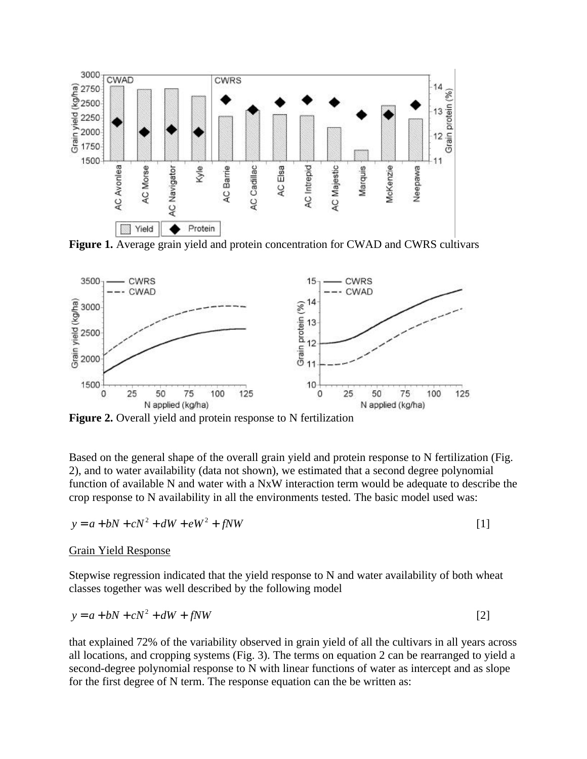

**Figure 1.** Average grain yield and protein concentration for CWAD and CWRS cultivars



**Figure 2.** Overall yield and protein response to N fertilization

Based on the general shape of the overall grain yield and protein response to N fertilization (Fig. 2), and to water availability (data not shown), we estimated that a second degree polynomial function of available N and water with a NxW interaction term would be adequate to describe the crop response to N availability in all the environments tested. The basic model used was:

$$
y = a + bN + cN^2 + dW + eW^2 + fNW
$$
\n[1]

#### Grain Yield Response

Stepwise regression indicated that the yield response to N and water availability of both wheat classes together was well described by the following model

$$
y = a + bN + cN^2 + dW + fNW
$$
\n<sup>(2)</sup>

that explained 72% of the variability observed in grain yield of all the cultivars in all years across all locations, and cropping systems (Fig. 3). The terms on equation 2 can be rearranged to yield a second-degree polynomial response to N with linear functions of water as intercept and as slope for the first degree of N term. The response equation can the be written as: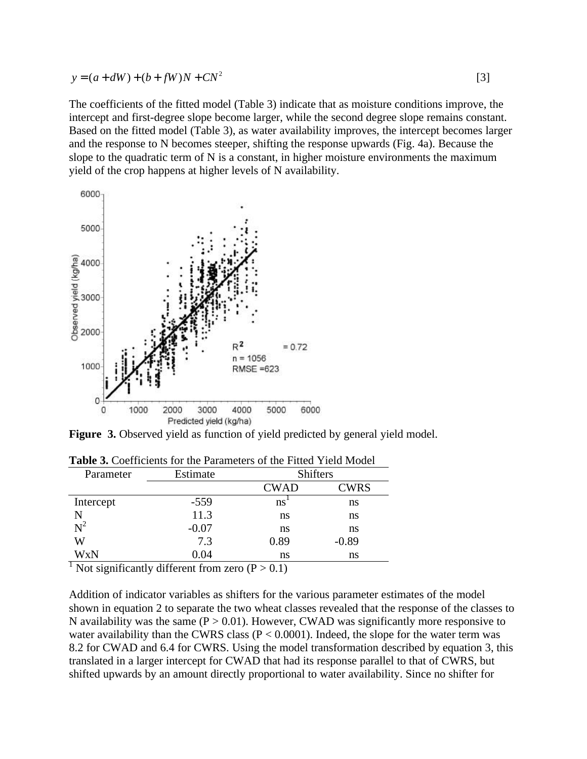$$
y = (a + dW) + (b + fW)N + CN^2
$$
 [3]

The coefficients of the fitted model (Table 3) indicate that as moisture conditions improve, the intercept and first-degree slope become larger, while the second degree slope remains constant. Based on the fitted model (Table 3), as water availability improves, the intercept becomes larger and the response to N becomes steeper, shifting the response upwards (Fig. 4a). Because the slope to the quadratic term of N is a constant, in higher moisture environments the maximum yield of the crop happens at higher levels of N availability.



**Figure 3.** Observed yield as function of yield predicted by general yield model.

| Parameter                                                           | Estimate | <b>Shifters</b> |             |  |  |
|---------------------------------------------------------------------|----------|-----------------|-------------|--|--|
|                                                                     |          | <b>CWAD</b>     | <b>CWRS</b> |  |  |
| Intercept                                                           | $-559$   | ns              | ns          |  |  |
| N                                                                   | 11.3     | ns              | ns          |  |  |
| $N^2$                                                               | $-0.07$  | ns              | ns          |  |  |
| W                                                                   | 7.3      | 0.89            | $-0.89$     |  |  |
| WxN                                                                 | 0.04     | ns              | ns          |  |  |
| <sup>1</sup> Not significantly different from zero $(D \times 0.1)$ |          |                 |             |  |  |

**Table 3.** Coefficients for the Parameters of the Fitted Yield Model

Not significantly different from zero  $(P > 0.1)$ 

Addition of indicator variables as shifters for the various parameter estimates of the model shown in equation 2 to separate the two wheat classes revealed that the response of the classes to N availability was the same ( $P > 0.01$ ). However, CWAD was significantly more responsive to water availability than the CWRS class ( $P < 0.0001$ ). Indeed, the slope for the water term was 8.2 for CWAD and 6.4 for CWRS. Using the model transformation described by equation 3, this translated in a larger intercept for CWAD that had its response parallel to that of CWRS, but shifted upwards by an amount directly proportional to water availability. Since no shifter for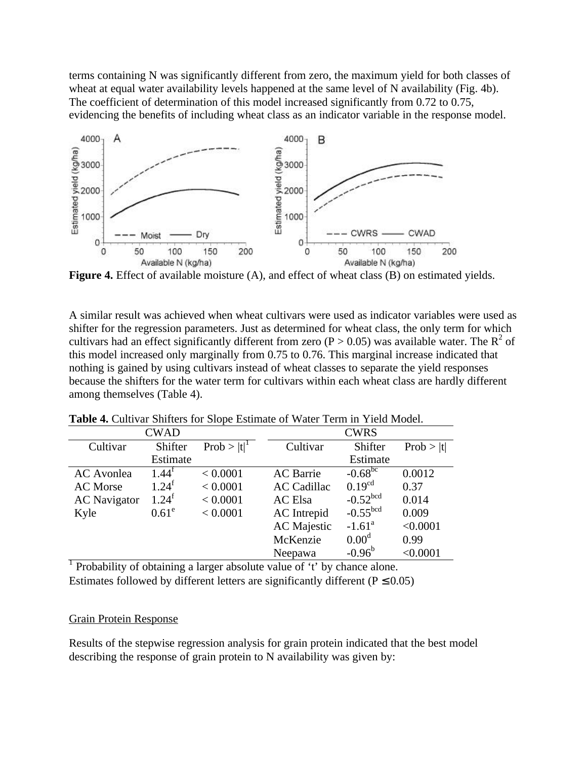terms containing N was significantly different from zero, the maximum yield for both classes of wheat at equal water availability levels happened at the same level of N availability (Fig. 4b). The coefficient of determination of this model increased significantly from 0.72 to 0.75, evidencing the benefits of including wheat class as an indicator variable in the response model.



**Figure 4.** Effect of available moisture (A), and effect of wheat class (B) on estimated yields.

A similar result was achieved when wheat cultivars were used as indicator variables were used as shifter for the regression parameters. Just as determined for wheat class, the only term for which cultivars had an effect significantly different from zero ( $P > 0.05$ ) was available water. The R<sup>2</sup> of this model increased only marginally from 0.75 to 0.76. This marginal increase indicated that nothing is gained by using cultivars instead of wheat classes to separate the yield responses because the shifters for the water term for cultivars within each wheat class are hardly different among themselves (Table 4).

|                     | <b>CWAD</b>         |                |                    | <b>CWRS</b>            |           |
|---------------------|---------------------|----------------|--------------------|------------------------|-----------|
| Cultivar            | Shifter             | $Prob >  t ^1$ | Cultivar           | Shifter                | Prob >  t |
|                     | Estimate            |                |                    | Estimate               |           |
| <b>AC</b> Avonlea   | $1.44^{\mathrm{t}}$ | < 0.0001       | <b>AC</b> Barrie   | $-0.68^{bc}$           | 0.0012    |
| <b>AC</b> Morse     | $1.24^{f}$          | < 0.0001       | <b>AC Cadillac</b> | $0.19^{cd}$            | 0.37      |
| <b>AC</b> Navigator | $1.24^{f}$          | < 0.0001       | <b>AC</b> Elsa     | $-0.52^{bcd}$          | 0.014     |
| Kyle                | $0.61^e$            | < 0.0001       | AC Intrepid        | $-0.55$ <sup>bcd</sup> | 0.009     |
|                     |                     |                | <b>AC</b> Majestic | $-1.61^a$              | < 0.0001  |
|                     |                     |                | McKenzie           | 0.00 <sup>d</sup>      | 0.99      |
|                     |                     |                | Neepawa            | $-0.96^{\rm b}$        | < 0.0001  |

**Table 4.** Cultivar Shifters for Slope Estimate of Water Term in Yield Model.

<sup>1</sup> Probability of obtaining a larger absolute value of 't' by chance alone. Estimates followed by different letters are significantly different ( $P \le 0.05$ )

## Grain Protein Response

Results of the stepwise regression analysis for grain protein indicated that the best model describing the response of grain protein to N availability was given by: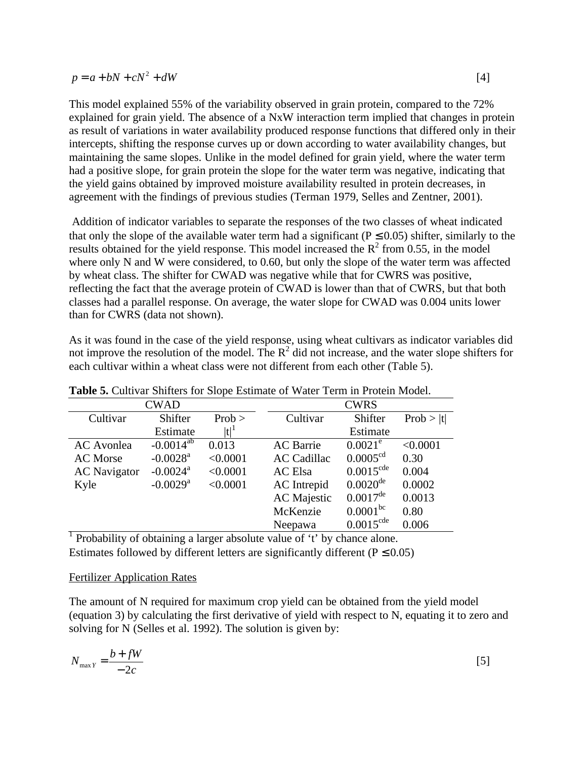| $p = a + bN + cN^2 + dW$ |  |
|--------------------------|--|
|                          |  |

This model explained 55% of the variability observed in grain protein, compared to the 72% explained for grain yield. The absence of a NxW interaction term implied that changes in protein as result of variations in water availability produced response functions that differed only in their intercepts, shifting the response curves up or down according to water availability changes, but maintaining the same slopes. Unlike in the model defined for grain yield, where the water term had a positive slope, for grain protein the slope for the water term was negative, indicating that the yield gains obtained by improved moisture availability resulted in protein decreases, in agreement with the findings of previous studies (Terman 1979, Selles and Zentner, 2001).

 Addition of indicator variables to separate the responses of the two classes of wheat indicated that only the slope of the available water term had a significant ( $P \le 0.05$ ) shifter, similarly to the results obtained for the yield response. This model increased the  $\mathbb{R}^2$  from 0.55, in the model where only N and W were considered, to 0.60, but only the slope of the water term was affected by wheat class. The shifter for CWAD was negative while that for CWRS was positive, reflecting the fact that the average protein of CWAD is lower than that of CWRS, but that both classes had a parallel response. On average, the water slope for CWAD was 0.004 units lower than for CWRS (data not shown).

As it was found in the case of the yield response, using wheat cultivars as indicator variables did not improve the resolution of the model. The  $R^2$  did not increase, and the water slope shifters for each cultivar within a wheat class were not different from each other (Table 5).

| <b>Lable 3.</b> Cuttival Stiffers for Stope Estimate of water Term in Frotein Model. |                        |          |                    |                       |           |
|--------------------------------------------------------------------------------------|------------------------|----------|--------------------|-----------------------|-----------|
|                                                                                      | <b>CWAD</b>            |          |                    | <b>CWRS</b>           |           |
| Cultivar                                                                             | Shifter                | Prob >   | Cultivar           | Shifter               | Prob >  t |
|                                                                                      | Estimate               | $ t ^1$  |                    | Estimate              |           |
| <b>AC</b> Avonlea                                                                    | $-0.0014^{ab}$         | 0.013    | <b>AC</b> Barrie   | $0.0021^e$            | < 0.0001  |
| <b>AC</b> Morse                                                                      | $-0.0028$ <sup>a</sup> | < 0.0001 | <b>AC Cadillac</b> | 0.0005 <sup>cd</sup>  | 0.30      |
| <b>AC</b> Navigator                                                                  | $-0.0024$ <sup>a</sup> | < 0.0001 | <b>AC</b> Elsa     | $0.0015^{\text{cde}}$ | 0.004     |
| Kyle                                                                                 | $-0.0029$ <sup>a</sup> | < 0.0001 | AC Intrepid        | $0.0020^{\text{de}}$  | 0.0002    |
|                                                                                      |                        |          | <b>AC</b> Majestic | $0.0017^{\text{de}}$  | 0.0013    |
|                                                                                      |                        |          | McKenzie           | $0.0001^{bc}$         | 0.80      |
|                                                                                      |                        |          | Neepawa            | $0.0015^{\text{cde}}$ | 0.006     |

| <b>Table 5.</b> Cultivar Shifters for Slope Estimate of Water Term in Protein Model. |  |  |
|--------------------------------------------------------------------------------------|--|--|
|--------------------------------------------------------------------------------------|--|--|

<sup>1</sup> Probability of obtaining a larger absolute value of 't' by chance alone. Estimates followed by different letters are significantly different ( $P \le 0.05$ )

## Fertilizer Application Rates

The amount of N required for maximum crop yield can be obtained from the yield model (equation 3) by calculating the first derivative of yield with respect to N, equating it to zero and solving for N (Selles et al. 1992). The solution is given by:

$$
N_{\max Y} = \frac{b + fW}{-2c} \tag{5}
$$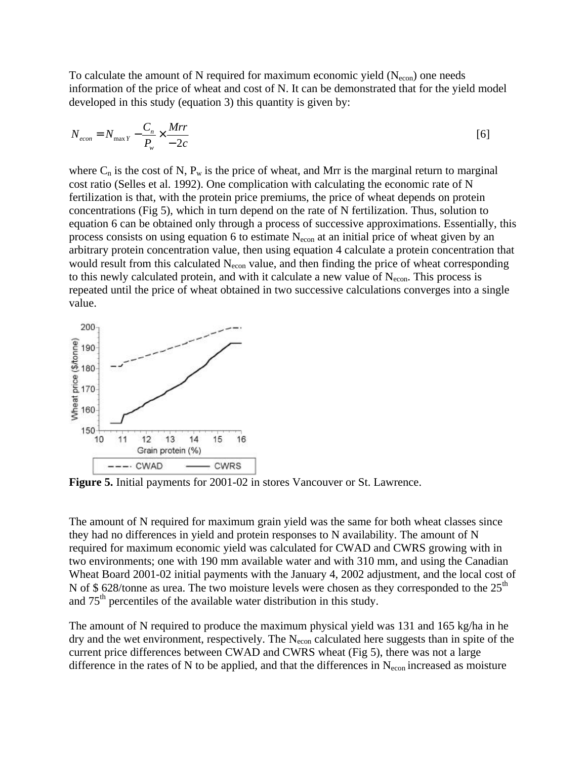To calculate the amount of N required for maximum economic yield  $(N_{\text{econ}})$  one needs information of the price of wheat and cost of N. It can be demonstrated that for the yield model developed in this study (equation 3) this quantity is given by:

$$
N_{econ} = N_{\text{max }Y} - \frac{C_n}{P_w} \times \frac{Mrr}{-2c}
$$

where  $C_n$  is the cost of N,  $P_w$  is the price of wheat, and Mrr is the marginal return to marginal cost ratio (Selles et al. 1992). One complication with calculating the economic rate of N fertilization is that, with the protein price premiums, the price of wheat depends on protein concentrations (Fig 5), which in turn depend on the rate of N fertilization. Thus, solution to equation 6 can be obtained only through a process of successive approximations. Essentially, this process consists on using equation 6 to estimate  $N_{econ}$  at an initial price of wheat given by an arbitrary protein concentration value, then using equation 4 calculate a protein concentration that would result from this calculated  $N_{\text{econ}}$  value, and then finding the price of wheat corresponding to this newly calculated protein, and with it calculate a new value of  $N_{\text{econ}}$ . This process is repeated until the price of wheat obtained in two successive calculations converges into a single value.



**Figure 5.** Initial payments for 2001-02 in stores Vancouver or St. Lawrence.

The amount of N required for maximum grain yield was the same for both wheat classes since they had no differences in yield and protein responses to N availability. The amount of N required for maximum economic yield was calculated for CWAD and CWRS growing with in two environments; one with 190 mm available water and with 310 mm, and using the Canadian Wheat Board 2001-02 initial payments with the January 4, 2002 adjustment, and the local cost of N of \$ 628/tonne as urea. The two moisture levels were chosen as they corresponded to the  $25<sup>th</sup>$ and  $75<sup>th</sup>$  percentiles of the available water distribution in this study.

The amount of N required to produce the maximum physical yield was 131 and 165 kg/ha in he dry and the wet environment, respectively. The  $N_{\text{econ}}$  calculated here suggests than in spite of the current price differences between CWAD and CWRS wheat (Fig 5), there was not a large difference in the rates of N to be applied, and that the differences in  $N_{\text{econ}}$  increased as moisture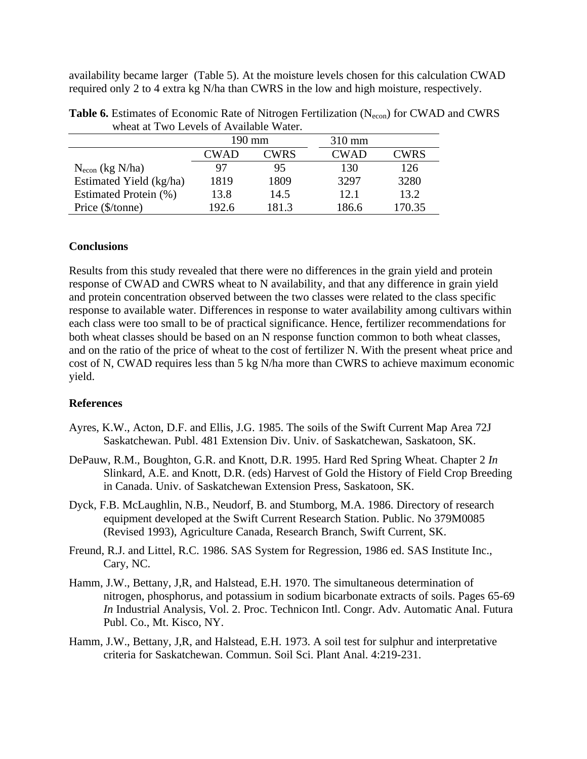availability became larger (Table 5). At the moisture levels chosen for this calculation CWAD required only 2 to 4 extra kg N/ha than CWRS in the low and high moisture, respectively.

| mnuu uu 1 mo Lovois ol Tyvanusio matoli. |             |       |                  |             |
|------------------------------------------|-------------|-------|------------------|-------------|
|                                          | 190 mm      |       | $310 \text{ mm}$ |             |
|                                          | <b>CWAD</b> | CWRS  | <b>CWAD</b>      | <b>CWRS</b> |
| $N_{\text{econ}}$ (kg N/ha)              | 97          | 95    | 130              | 126         |
| Estimated Yield (kg/ha)                  | 1819        | 1809  | 3297             | 3280        |
| Estimated Protein (%)                    | 13.8        | 14.5  | 12.1             | 13.2        |
| Price (\$/tonne)                         | 192.6       | 181.3 | 186.6            | 170.35      |

**Table 6.** Estimates of Economic Rate of Nitrogen Fertilization (N<sub>econ</sub>) for CWAD and CWRS wheat at Two Levels of Available Water.

## **Conclusions**

Results from this study revealed that there were no differences in the grain yield and protein response of CWAD and CWRS wheat to N availability, and that any difference in grain yield and protein concentration observed between the two classes were related to the class specific response to available water. Differences in response to water availability among cultivars within each class were too small to be of practical significance. Hence, fertilizer recommendations for both wheat classes should be based on an N response function common to both wheat classes, and on the ratio of the price of wheat to the cost of fertilizer N. With the present wheat price and cost of N, CWAD requires less than 5 kg N/ha more than CWRS to achieve maximum economic yield.

# **References**

- Ayres, K.W., Acton, D.F. and Ellis, J.G. 1985. The soils of the Swift Current Map Area 72J Saskatchewan. Publ. 481 Extension Div. Univ. of Saskatchewan, Saskatoon, SK.
- DePauw, R.M., Boughton, G.R. and Knott, D.R. 1995. Hard Red Spring Wheat. Chapter 2 *In* Slinkard, A.E. and Knott, D.R. (eds) Harvest of Gold the History of Field Crop Breeding in Canada. Univ. of Saskatchewan Extension Press, Saskatoon, SK.
- Dyck, F.B. McLaughlin, N.B., Neudorf, B. and Stumborg, M.A. 1986. Directory of research equipment developed at the Swift Current Research Station. Public. No 379M0085 (Revised 1993), Agriculture Canada, Research Branch, Swift Current, SK.
- Freund, R.J. and Littel, R.C. 1986. SAS System for Regression, 1986 ed. SAS Institute Inc., Cary, NC.
- Hamm, J.W., Bettany, J,R, and Halstead, E.H. 1970. The simultaneous determination of nitrogen, phosphorus, and potassium in sodium bicarbonate extracts of soils. Pages 65-69 *In* Industrial Analysis, Vol. 2. Proc. Technicon Intl. Congr. Adv. Automatic Anal. Futura Publ. Co., Mt. Kisco, NY.
- Hamm, J.W., Bettany, J,R, and Halstead, E.H. 1973. A soil test for sulphur and interpretative criteria for Saskatchewan. Commun. Soil Sci. Plant Anal. 4:219-231.